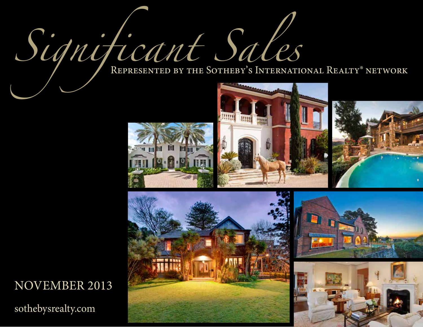Significant Sales

H

 $10 - 0.01$ 

E

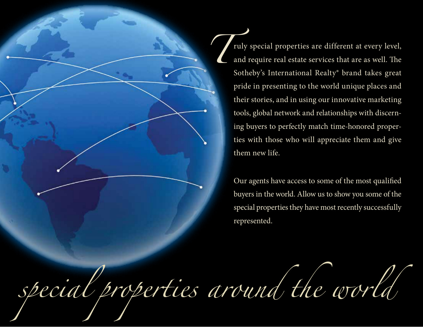ruly special properties are different at every level, and require real estate services that are as well. The Sotheby's International Realty® brand takes great pride in presenting to the world unique places and their stories, and in using our innovative marketing tools, global network and relationships with discerning buyers to perfectly match time-honored properties with those who will appreciate them and give them new life. *T*

> Our agents have access to some of the most qualified buyers in the world. Allow us to show you some of the special properties they have most recently successfully represented.

*special properties around the world*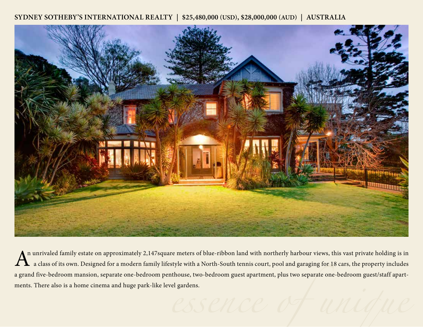**SYDNEY SOTHEBY'S INTERNATIONAL REALTY | \$25,480,000 (USD), \$28,000,000 (AUD) | AUSTRALIA**



 $A<sup>n</sup>$  unrivaled family estate on approximately 2,147square meters of blue-ribbon land with northerly harbour views, this vast private holding is in a class of its own. Designed for a modern family lifestyle with a Nor a class of its own. Designed for a modern family lifestyle with a North-South tennis court, pool and garaging for 18 cars, the property includes a grand five-bedroom mansion, separate one-bedroom penthouse, two-bedroom guest apartment, plus two separate one-bedroom guest/staff apartments. There also is a home cinema and huge park-like level gardens.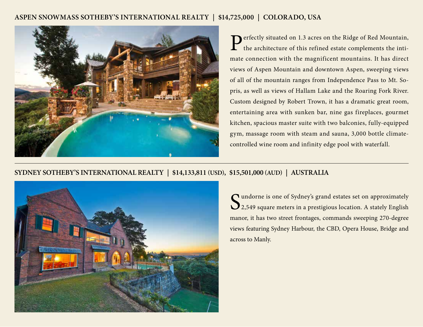#### **ASPEN SNOWMASS SOTHEBY'S INTERNATIONAL REALTY | \$14,725,000 | COLORADO, USA**



Perfectly situated on 1.3 acres on the Ridge of Red Mountain,  $\perp$  the architecture of this refined estate complements the intimate connection with the magnificent mountains. It has direct views of Aspen Mountain and downtown Aspen, sweeping views of all of the mountain ranges from Independence Pass to Mt. Sopris, as well as views of Hallam Lake and the Roaring Fork River. Custom designed by Robert Trown, it has a dramatic great room, entertaining area with sunken bar, nine gas fireplaces, gourmet kitchen, spacious master suite with two balconies, fully-equipped gym, massage room with steam and sauna, 3,000 bottle climatecontrolled wine room and infinity edge pool with waterfall.

#### **SYDNEY SOTHEBY'S INTERNATIONAL REALTY | \$14,133,811 (USD), \$15,501,000 (AUD) | AUSTRALIA**



Sundorne is one of Sydney's grand estates set on approximately<br>2,549 square meters in a prestigious location. A stately English 2,549 square meters in a prestigious location. A stately English manor, it has two street frontages, commands sweeping 270-degree views featuring Sydney Harbour, the CBD, Opera House, Bridge and across to Manly.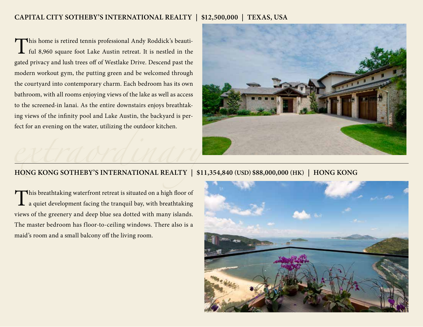## **CAPITAL CITY SOTHEBY'S INTERNATIONAL REALTY | \$12,500,000 | TEXAS, USA**

This home is retired tennis professional Andy Roddick's beautiful 8,960 square foot Lake Austin retreat. It is nestled in the gated privacy and lush trees off of Westlake Drive. Descend past the modern workout gym, the putting green and be welcomed through the courtyard into contemporary charm. Each bedroom has its own bathroom, with all rooms enjoying views of the lake as well as access to the screened-in lanai. As the entire downstairs enjoys breathtaking views of the infinity pool and Lake Austin, the backyard is perfect for an evening on the water, utilizing the outdoor kitchen.



# **extracts the Southeby's INTERNATIONAL REALTY** | \$11,354,840 (USD) \$88,000,000 (HK) | HONG KONG

This breathtaking waterfront retreat is situated on a high floor of a quiet development facing the tranquil bay, with breathtaking views of the greenery and deep blue sea dotted with many islands. The master bedroom has floor-to-ceiling windows. There also is a maid's room and a small balcony off the living room.

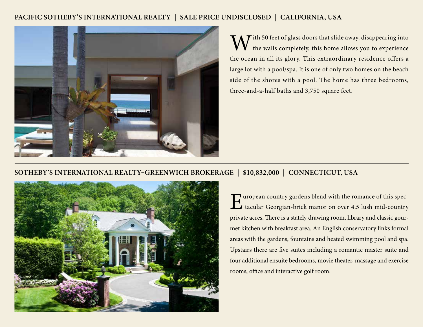#### **PACIFIC SOTHEBY'S INTERNATIONAL REALTY | SALE PRICE UNDISCLOSED | CALIFORNIA, USA**



 $\bf{W}$  ith 50 feet of glass doors that slide away, disappearing into the walls completely, this home allows you to experience the walls completely, this home allows you to experience the ocean in all its glory. This extraordinary residence offers a large lot with a pool/spa. It is one of only two homes on the beach side of the shores with a pool. The home has three bedrooms, three-and-a-half baths and 3,750 square feet.

## **SOTHEBY'S INTERNATIONAL REALTY–GREENWICH BROKERAGE | \$10,832,000 | CONNECTICUT, USA**



European country gardens blend with the romance of this spectracular Georgian-brick manor on over 4.5 lush mid-country tacular Georgian-brick manor on over 4.5 lush mid-country private acres. There is a stately drawing room, library and classic gourmet kitchen with breakfast area. An English conservatory links formal areas with the gardens, fountains and heated swimming pool and spa. Upstairs there are five suites including a romantic master suite and four additional ensuite bedrooms, movie theater, massage and exercise rooms, office and interactive golf room.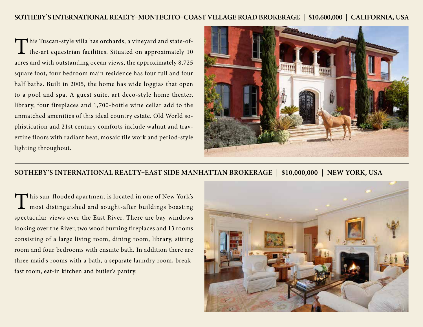This Tuscan-style villa has orchards, a vineyard and state-ofthe-art equestrian facilities. Situated on approximately 10 acres and with outstanding ocean views, the approximately 8,725 square foot, four bedroom main residence has four full and four half baths. Built in 2005, the home has wide loggias that open to a pool and spa. A guest suite, art deco-style home theater, library, four fireplaces and 1,700-bottle wine cellar add to the unmatched amenities of this ideal country estate. Old World sophistication and 21st century comforts include walnut and travertine floors with radiant heat, mosaic tile work and period-style lighting throughout.



#### **SOTHEBY'S INTERNATIONAL REALTY–EAST SIDE MANHATTAN BROKERAGE | \$10,000,000 | NEW YORK, USA**

This sun-flooded apartment is located in one of New York's<br>most distinguished and sought-after buildings boasting most distinguished and sought-after buildings boasting spectacular views over the East River. There are bay windows looking over the River, two wood burning fireplaces and 13 rooms consisting of a large living room, dining room, library, sitting room and four bedrooms with ensuite bath. In addition there are three maid's rooms with a bath, a separate laundry room, breakfast room, eat-in kitchen and butler's pantry.

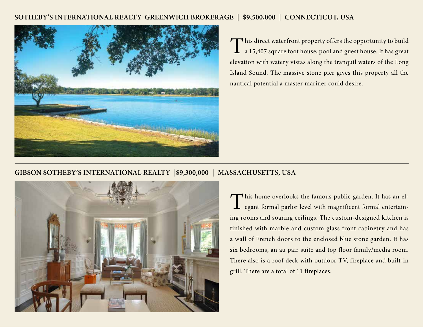#### **SOTHEBY'S INTERNATIONAL REALTY–GREENWICH BROKERAGE | \$9,500,000 | CONNECTICUT, USA**



This direct waterfront property offers the opportunity to build a 15,407 square foot house, pool and guest house. It has great elevation with watery vistas along the tranquil waters of the Long Island Sound. The massive stone pier gives this property all the nautical potential a master mariner could desire.

#### **GIBSON SOTHEBY'S INTERNATIONAL REALTY |\$9,300,000 | MASSACHUSETTS, USA**



This home overlooks the famous public garden. It has an el-**L** egant formal parlor level with magnificent formal entertaining rooms and soaring ceilings. The custom-designed kitchen is finished with marble and custom glass front cabinetry and has a wall of French doors to the enclosed blue stone garden. It has six bedrooms, an au pair suite and top floor family/media room. There also is a roof deck with outdoor TV, fireplace and built-in grill. There are a total of 11 fireplaces.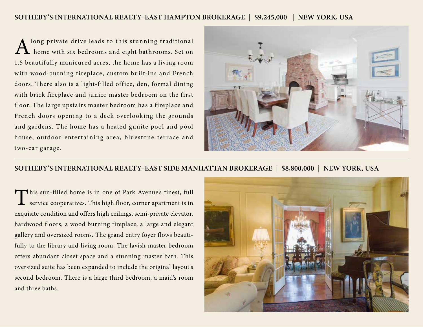#### **SOTHEBY'S INTERNATIONAL REALTY–EAST HAMPTON BROKERAGE | \$9,245,000 | NEW YORK, USA**

long private drive leads to this stunning traditional home with six bedrooms and eight bathrooms. Set on 1.5 beautifully manicured acres, the home has a living room with wood-burning fireplace, custom built-ins and French doors. There also is a light-filled office, den, formal dining with brick fireplace and junior master bedroom on the first floor. The large upstairs master bedroom has a fireplace and French doors opening to a deck overlooking the grounds and gardens. The home has a heated gunite pool and pool house, outdoor entertaining area, bluestone terrace and two-car garage.



#### **SOTHEBY'S INTERNATIONAL REALTY–EAST SIDE MANHATTAN BROKERAGE | \$8,800,000 | NEW YORK, USA**

This sun-filled home is in one of Park Avenue's finest, full service cooperatives. This high floor, corner apartment is in service cooperatives. This high floor, corner apartment is in exquisite condition and offers high ceilings, semi-private elevator, hardwood floors, a wood burning fireplace, a large and elegant gallery and oversized rooms. The grand entry foyer flows beautifully to the library and living room. The lavish master bedroom offers abundant closet space and a stunning master bath. This oversized suite has been expanded to include the original layout's second bedroom. There is a large third bedroom, a maid's room and three baths.

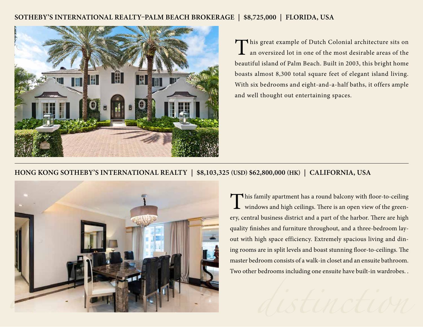#### **SOTHEBY'S INTERNATIONAL REALTY–PALM BEACH BROKERAGE | \$8,725,000 | FLORIDA, USA**



This great example of Dutch Colonial architecture sits on an oversized lot in one of the most desirable areas of the beautiful island of Palm Beach. Built in 2003, this bright home boasts almost 8,300 total square feet of elegant island living. With six bedrooms and eight-and-a-half baths, it offers ample and well thought out entertaining spaces.

#### **HONG KONG SOTHEBY'S INTERNATIONAL REALTY | \$8,103,325 (USD) \$62,800,000 (HK) | CALIFORNIA, USA**



This family apartment has a round balcony with floor-to-ceiling **L** windows and high ceilings. There is an open view of the greenery, central business district and a part of the harbor. There are high quality finishes and furniture throughout, and a three-bedroom layout with high space efficiency. Extremely spacious living and dining rooms are in split levels and boast stunning floor-to-ceilings. The master bedroom consists of a walk-in closet and an ensuite bathroom. Two other bedrooms including one ensuite have built-in wardrobes. .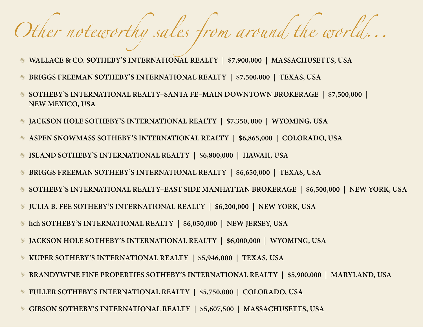# *Other noteworthy sales from around the world...*

- **WALLACE & CO. SOTHEBY'S INTERNATIONAL REALTY | \$7,900,000 | MASSACHUSETTS, USA**
- **BRIGGS FREEMAN SOTHEBY'S INTERNATIONAL REALTY | \$7,500,000 | TEXAS, USA**
- **SOTHEBY'S INTERNATIONAL REALTY–SANTA FE–MAIN DOWNTOWN BROKERAGE | \$7,500,000 | NEW MEXICO, USA**
- **JACKSON HOLE SOTHEBY'S INTERNATIONAL REALTY | \$7,350, 000 | WYOMING, USA**
- **ASPEN SNOWMASS SOTHEBY'S INTERNATIONAL REALTY | \$6,865,000 | COLORADO, USA**
- **ISLAND SOTHEBY'S INTERNATIONAL REALTY | \$6,800,000 | HAWAII, USA**
- **BRIGGS FREEMAN SOTHEBY'S INTERNATIONAL REALTY | \$6,650,000 | TEXAS, USA**
- **SOTHEBY'S INTERNATIONAL REALTY–EAST SIDE MANHATTAN BROKERAGE | \$6,500,000 | NEW YORK, USA**
- **JULIA B. FEE SOTHEBY'S INTERNATIONAL REALTY | \$6,200,000 | NEW YORK, USA**
- **hch SOTHEBY'S INTERNATIONAL REALTY | \$6,050,000 | NEW JERSEY, USA**
- **JACKSON HOLE SOTHEBY'S INTERNATIONAL REALTY | \$6,000,000 | WYOMING, USA**
- **KUPER SOTHEBY'S INTERNATIONAL REALTY | \$5,946,000 | TEXAS, USA**
- **BRANDYWINE FINE PROPERTIES SOTHEBY'S INTERNATIONAL REALTY | \$5,900,000 | MARYLAND, USA**
- **FULLER SOTHEBY'S INTERNATIONAL REALTY | \$5,750,000 | COLORADO, USA**
- **GIBSON SOTHEBY'S INTERNATIONAL REALTY | \$5,607,500 | MASSACHUSETTS, USA**